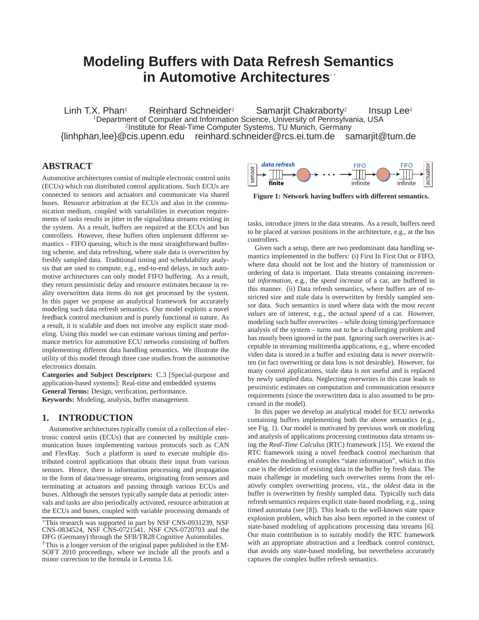# **Modeling Buffers with Data Refresh Semantics in Automotive Architectures**<sup>∗</sup> †

Linh T.X. Phan<sup>1</sup> Reinhard Schneider<sup>2</sup> Samarjit Chakraborty<sup>2</sup> Insup Lee<sup>1</sup> <sup>1</sup>Department of Computer and Information Science, University of Pennsylvania, USA 2 Institute for Real-Time Computer Systems, TU Munich, Germany {linhphan,lee}@cis.upenn.edu reinhard.schneider@rcs.ei.tum.de samarjit@tum.de

# **ABSTRACT**

Automotive architectures consist of multiple electronic control units (ECUs) which run distributed control applications. Such ECUs are connected to sensors and actuators and communicate via shared buses. Resource arbitration at the ECUs and also in the communication medium, coupled with variabilities in execution requirements of tasks results in jitter in the signal/data streams existing in the system. As a result, buffers are required at the ECUs and bus controllers. However, these buffers often implement different semantics – FIFO queuing, which is the most straightforward buffering scheme, and data refreshing, where stale data is overwritten by freshly sampled data. Traditional timing and schedulability analysis that are used to compute, e.g., end-to-end delays, in such automotive architectures can only model FIFO buffering. As a result, they return pessimistic delay and resource estimates because in reality overwritten data items do not get processed by the system. In this paper we propose an analytical framework for accurately modeling such data refresh semantics. Our model exploits a novel feedback control mechanism and is purely functional in nature. As a result, it is scalable and does not involve any explicit state modeling. Using this model we can estimate various timing and performance metrics for automotive ECU networks consisting of buffers implementing different data handling semantics. We illustrate the utility of this model through three case studies from the automotive electronics domain.

**Categories and Subject Descriptors:** C.3 [Special-purpose and application-based systems]: Real-time and embedded systems **General Terms:** Design, verification, performance.

**Keywords:** Modeling, analysis, buffer management.

# **1. INTRODUCTION**

Automotive architectures typically consist of a collection of electronic control units (ECUs) that are connected by multiple communication buses implementing various protocols such as CAN and FlexRay. Such a platform is used to execute multiple distributed control applications that obtain their input from various sensors. Hence, there is information processing and propagation in the form of data/message streams, originating from sensors and terminating at actuators and passing through various ECUs and buses. Although the sensors typically sample data at periodic intervals and tasks are also periodically activated, resource arbitration at the ECUs and buses, coupled with variable processing demands of



**Figure 1: Network having buffers with different semantics.**

tasks, introduce jitters in the data streams. As a result, buffers need to be placed at various positions in the architecture, e.g., at the bus controllers.

Given such a setup, there are two predominant data handling semantics implemented in the buffers: (i) First In First Out or FIFO, where data should not be lost and the history of transmission or ordering of data is important. Data streams containing *incremental information*, e.g., the *speed increase* of a car, are buffered in this manner. (ii) Data refresh semantics, where buffers are of restricted size and stale data is overwritten by freshly sampled sensor data. Such semantics is used where data with the most *recent values* are of interest, e.g., the *actual speed* of a car. However, modeling such buffer overwrites – while doing timing/performance analysis of the system – turns out to be a challenging problem and has mostly been ignored in the past. Ignoring such overwrites is acceptable in streaming multimedia applications, e.g., where encoded video data is stored in a buffer and existing data is *never* overwritten (in fact overwriting or data loss is not desirable). However, for many control applications, stale data is not useful and is replaced by newly sampled data. Neglecting overwrites in this case leads to pessimistic estimates on computation and communication resource requirements (since the overwritten data is also assumed to be processed in the model).

In this paper we develop an analytical model for ECU networks containing buffers implementing both the above semantics (e.g., see Fig. 1). Our model is motivated by previous work on modeling and analysis of applications processing continuous data streams using the *Real-Time Calculus* (RTC) framework [15]. We extend the RTC framework using a novel feedback control mechanism that enables the modeling of complex "state information", which in this case is the deletion of existing data in the buffer by fresh data. The main challenge in modeling such overwrites stems from the relatively complex overwriting process, viz., the *oldest* data in the buffer is overwritten by freshly sampled data. Typically such data refresh semantics requires explicit state-based modeling, e.g., using timed automata (see [8]). This leads to the well-known state space explosion problem, which has also been reported in the context of state-based modeling of applications processing data streams [6]. Our main contribution is to suitably modify the RTC framework with an appropriate abstraction and a feedback control construct, that avoids any state-based modeling, but nevertheless accurately captures the complex buffer refresh semantics.

<sup>∗</sup>This research was supported in part by NSF CNS-0931239, NSF CNS-0834524, NSF CNS-0721541, NSF CNS-0720703 and the DFG (Germany) through the SFB/TR28 Cognitive Automobiles.

<sup>†</sup>This is a longer version of the original paper published in the EM-SOFT 2010 proceedings, where we include all the proofs and a minor correction to the formula in Lemma 3.6.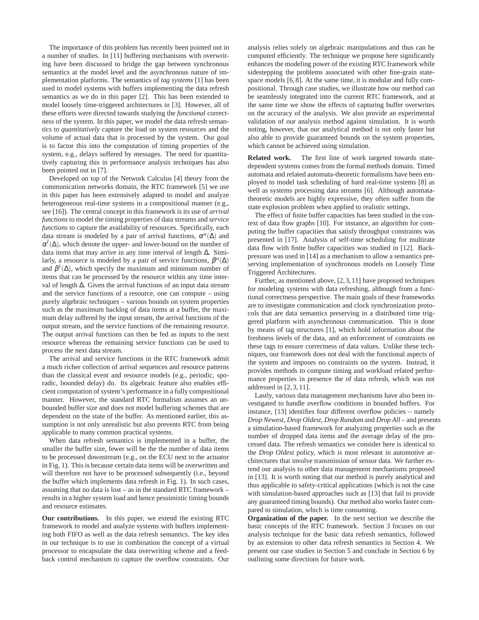The importance of this problem has recently been pointed out in a number of studies. In [11] buffering mechanisms with overwriting have been discussed to bridge the gap between synchronous semantics at the model level and the asynchronous nature of implementation platforms. The semantics of *tag systems* [1] has been used to model systems with buffers implementing the data refresh semantics as we do in this paper [2]. This has been extended to model loosely time-triggered architectures in [3]. However, all of these efforts were directed towards studying the *functional* correctness of the system. In this paper, we model the data refresh semantics to *quantitatively* capture the load on system resources and the volume of actual data that is processed by the system. Our goal is to factor this into the computation of timing properties of the system, e.g., delays suffered by messages. The need for quantitatively capturing this in performance analysis techniques has also been pointed out in [7].

Developed on top of the Network Calculus [4] theory from the communication networks domain, the RTC framework [5] we use in this paper has been extensively adapted to model and analyze heterogeneous real-time systems in a compositional manner (e.g., see [16]). The central concept in this framework is its use of *arrival functions* to model the timing properties of data streams and *service functions* to capture the availability of resources. Specifically, each data stream is modeled by a pair of arrival functions,  $\alpha^u(\Delta)$  and  $\alpha^l(\Delta)$ , which denote the upper- and lower-bound on the number of data items that may arrive in any time interval of length ∆. Similarly, a resource is modeled by a pair of service functions,  $\beta^u(\Delta)$ and  $\beta^l(\Delta)$ , which specify the maximum and minimum number of items that can be processed by the resource within any time interval of length ∆. Given the arrival functions of an input data stream and the service functions of a resource, one can compute – using purely algebraic techniques – various bounds on system properties such as the maximum backlog of data items at a buffer, the maximum delay suffered by the input stream, the arrival functions of the output stream, and the service functions of the remaining resource. The output arrival functions can then be fed as inputs to the next resource whereas the remaining service functions can be used to process the next data stream.

The arrival and service functions in the RTC framework admit a much richer collection of arrival sequences and resource patterns than the classical event and resource models (e.g., periodic, sporadic, bounded delay) do. Its algebraic feature also enables efficient computation of system's performance in a fully compositional manner. However, the standard RTC formalism assumes an unbounded buffer size and does not model buffering schemes that are dependent on the state of the buffer. As mentioned earlier, this assumption is not only unrealistic but also prevents RTC from being applicable to many common practical systems.

When data refresh semantics is implemented in a buffer, the smaller the buffer size, fewer will be the the number of data items to be processed downstream (e.g., on the ECU next to the actuator in Fig. 1). This is because certain data items will be overwritten and will therefore not have to be processed subsequently (i.e., beyond the buffer which implements data refresh in Fig. 1). In such cases, assuming that no data is lost – as in the standard RTC framework – results in a higher system load and hence pessimistic timing bounds and resource estimates.

**Our contributions.** In this paper, we extend the existing RTC framework to model and analyze systems with buffers implementing both FIFO as well as the data refresh semantics. The key idea in our technique is to use in combination the concept of a virtual processor to encapsulate the data overwriting scheme and a feedback control mechanism to capture the overflow constraints. Our analysis relies solely on algebraic manipulations and thus can be computed efficiently. The technique we propose here significantly enhances the modeling power of the existing RTC framework while sidestepping the problems associated with other fine-grain statespace models [6,8]. At the same time, it is modular and fully compositional. Through case studies, we illustrate how our method can be seamlessly integrated into the current RTC framework, and at the same time we show the effects of capturing buffer overwrites on the accuracy of the analysis. We also provide an experimental validation of our analysis method against simulation. It is worth noting, however, that our analytical method is not only faster but also able to provide guaranteed bounds on the system properties, which cannot be achieved using simulation.

**Related work.** The first line of work targeted towards statedependent systems comes from the formal methods domain. Timed automata and related automata-theoretic formalisms have been employed to model task scheduling of hard real-time systems [8] as well as systems processing data streams [6]. Although automatatheoretic models are highly expressive, they often suffer from the state explosion problem when applied to realistic settings.

The effect of finite buffer capacities has been studied in the context of data flow graphs [10]. For instance, an algorithm for computing the buffer capacities that satisfy throughput constraints was presented in [17]. Analysis of self-time scheduling for multirate data flow with finite buffer capacities was studied in [12]. Backpressure was used in [14] as a mechanism to allow a semantics preserving implementation of synchronous models on Loosely Time Triggered Architectures.

Further, as mentioned above, [2,3,11] have proposed techniques for modeling systems with data refreshing, although from a functional correctness perspective. The main goals of these frameworks are to investigate communication and clock synchronization protocols that are data semantics preserving in a distributed time triggered platform with asynchronous communication. This is done by means of tag structures [1], which hold information about the freshness levels of the data, and an enforcement of constraints on these tags to ensure correctness of data values. Unlike these techniques, our framework does not deal with the functional aspects of the system and imposes no constraints on the system. Instead, it provides methods to compute timing and workload related performance properties in presence the of data refresh, which was not addressed in [2, 3, 11].

Lastly, various data management mechanisms have also been investigated to handle overflow conditions in bounded buffers. For instance, [13] identifies four different overflow policies – namely *Drop Newest*, *Drop Oldest*, *Drop Random* and *Drop All* – and presents a simulation-based framework for analyzing properties such as the number of dropped data items and the average delay of the processed data. The refresh semantics we consider here is identical to the *Drop Oldest* policy, which is most relevant in automotive architectures that involve transmission of sensor data. We further extend our analysis to other data management mechanisms proposed in [13]. It is worth noting that our method is purely analytical and thus applicable to safety-critical applications (which is not the case with simulation-based approaches such as [13] that fail to provide any guaranteed timing bounds). Our method also works faster compared to simulation, which is time consuming.

**Organization of the paper.** In the next section we describe the basic concepts of the RTC framework. Section 3 focuses on our analysis technique for the basic data refresh semantics, followed by an extension to other data refresh semantics in Section 4. We present our case studies in Section 5 and conclude in Section 6 by outlining some directions for future work.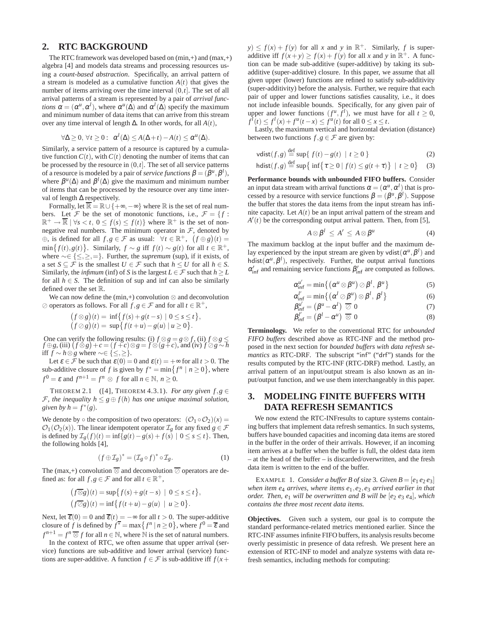## **2. RTC BACKGROUND**

The RTC framework was developed based on (min,+) and (max,+) algebra [4] and models data streams and processing resources using a *count-based abstraction*. Specifically, an arrival pattern of a stream is modeled as a cumulative function  $A(t)$  that gives the number of items arriving over the time interval (0,*t*]. The set of all arrival patterns of a stream is represented by a pair of *arrival functions*  $\alpha = (\alpha^u, \alpha^l)$ , where  $\alpha^u(\Delta)$  and  $\alpha^l(\Delta)$  specify the maximum and minimum number of data items that can arrive from this stream over any time interval of length ∆. In other words, for all *A*(*t*),

$$
\forall \Delta \geq 0, \,\forall t \geq 0: \, \alpha^l(\Delta) \leq A(\Delta + t) - A(t) \leq \alpha^u(\Delta).
$$

Similarly, a service pattern of a resource is captured by a cumulative function  $C(t)$ , with  $C(t)$  denoting the number of items that can be processed by the resource in  $(0,t]$ . The set of all service patterns of a resource is modeled by a pair of *service functions*  $\beta = (\beta^u, \beta^l)$ , where  $\beta^{\mu}(\Delta)$  and  $\beta^{\ell}(\Delta)$  give the maximum and minimum number of items that can be processed by the resource over any time interval of length ∆ respectively.

Formally, let  $\overline{\mathbb{R}} = \mathbb{R} \cup \{+\infty, -\infty\}$  where  $\mathbb R$  is the set of real numbers. Let F be the set of monotonic functions, i.e.,  $\mathcal{F} = \{f :$  $\mathbb{R}^+ \to \overline{\mathbb{R}} \mid \forall s < t, 0 \le f(s) \le f(t) \}$  where  $\mathbb{R}^+$  is the set of nonnegative real numbers. The minimum operator in  $F$ , denoted by  $\oplus$ , is defined for all *f*,*g* ∈ *F* as usual:  $\forall t \in \mathbb{R}^+$ ,  $(f \oplus g)(t) =$  $\min\{f(t), g(t)\}\$ . Similarly,  $f \sim g$  iff  $f(t) \sim g(t)$  for all  $t \in \mathbb{R}^+,$ where ∼∈ {≤,≥,=}. Further, the *supremum* (sup), if it exists, of a set *S*  $\subseteq$  *F* is the smallest *U*  $\in$  *F* such that *h*  $\leq$  *U* for all *h*  $\in$  *S*. Similarly, the *infimum* (inf) of *S* is the largest  $L \in \mathcal{F}$  such that  $h > L$ for all  $h \in S$ . The definition of sup and inf can also be similarly defined over the set R.

We can now define the  $(min,+)$  convolution  $\otimes$  and deconvolution  $\oslash$  operators as follows. For all  $f, g \in \mathcal{F}$  and for all  $t \in \mathbb{R}^+$ ,

$$
(f \otimes g)(t) = \inf \{ f(s) + g(t - s) \mid 0 \le s \le t \}, (f \otimes g)(t) = \sup \{ f(t + u) - g(u) \mid u \ge 0 \}.
$$

One can verify the following results: (i)  $f \otimes g = g \otimes f$ , (ii)  $f \otimes g \leq f \oplus g$ , (iii)  $(f \otimes g) + c = (f+c) \otimes g = f \otimes (g+c)$ , and (iv)  $f \otimes g \sim h$ iff *f* ∼ *h* ⊗ *g* where ~∈ {≤,≥}.

Let  $\varepsilon \in \mathcal{F}$  be such that  $\varepsilon(0) = 0$  and  $\varepsilon(t) = +\infty$  for all  $t > 0$ . The sub-additive closure of *f* is given by  $f^* = \min\{f^n \mid n \ge 0\}$ , where  $f^0 = \varepsilon$  and  $f^{n+1} = f^n \otimes f$  for all  $n \in \mathbb{N}, n \ge 0$ .

THEOREM 2.1 ([4], THEOREM 4.3.1). *For any given*  $f, g \in$ *F*, the inequality  $h \leq g \oplus f(h)$  has one unique maximal solution, *given by*  $h = f^*(g)$ .

We denote by  $\circ$  the composition of two operators:  $(\mathcal{O}_1 \circ \mathcal{O}_2)(x) =$  $\mathcal{O}_1(\mathcal{O}_2(x))$ . The linear idempotent operator  $\mathcal{I}_g$  for any fixed  $g \in \mathcal{F}$ is defined by  $\mathcal{I}_g(f)(t) = \inf \{ g(t) - g(s) + f(s) \mid 0 \le s \le t \}.$  Then, the following holds [4],

$$
(f \oplus \mathcal{I}_g)^* = (\mathcal{I}_g \circ f)^* \circ \mathcal{I}_g. \tag{1}
$$

The (max,+) convolution  $\overline{\otimes}$  and deconvolution  $\overline{\otimes}$  operators are defined as: for all  $f, g \in \mathcal{F}$  and for all  $t \in \mathbb{R}^+$ ,

$$
(f\overline{\otimes}g)(t) = \sup\{f(s) + g(t-s) \mid 0 \le s \le t\},\
$$

$$
(f\overline{\otimes}g)(t) = \inf\{f(t+u) - g(u) \mid u \ge 0\}.
$$

Next, let  $\overline{\epsilon}(0) = 0$  and  $\overline{\epsilon}(t) = -\infty$  for all  $t > 0$ . The super-additive closure of *f* is defined by  $f^* = \max\{f^n \mid n \ge 0\}$ , where  $f^0 = \overline{\epsilon}$  and  $f^{n+1} = f^n \overline{\otimes} f$  for all  $n \in \mathbb{N}$ , where  $\mathbb N$  is the set of natural numbers.

In the context of RTC, we often assume that upper arrival (service) functions are sub-additive and lower arrival (service) functions are super-additive. A function  $f \in \mathcal{F}$  is sub-additive iff  $f(x+)$ 

 $y$ )  $\leq f(x) + f(y)$  for all *x* and *y* in  $\mathbb{R}^+$ . Similarly, *f* is superadditive iff  $f(x+y) \ge f(x) + f(y)$  for all *x* and *y* in  $\mathbb{R}^+$ . A function can be made sub-additive (super-additive) by taking its subadditive (super-additive) closure. In this paper, we assume that all given upper (lower) functions are refined to satisfy sub-additivity (super-additivity) before the analysis. Further, we require that each pair of upper and lower functions satisfies causality, i.e., it does not include infeasible bounds. Specifically, for any given pair of upper and lower functions  $(f^u, \bar{f}^l)$ , we must have for all  $t \geq 0$ ,  $f^{\bar{l}}(t) \leq f^{\bar{l}}(x) + f^{\bar{u}}(t-x) \leq f^{\bar{u}}(t)$  for all  $0 \leq x \leq t$ .

Lastly, the maximum vertical and horizontal deviation (distance) between two functions  $f, g \in \mathcal{F}$  are given by:

$$
\mathsf{vdist}(f,g) \stackrel{\text{def}}{=} \sup\{ f(t) - g(t) \mid t \ge 0 \}
$$
 (2)

$$
\mathsf{hdist}(f,g) \stackrel{\text{def}}{=} \sup \{ \inf \{ \tau \ge 0 \mid f(t) \le g(t+\tau) \} \mid t \ge 0 \} \tag{3}
$$

**Performance bounds with unbounded FIFO buffers.** Consider an input data stream with arrival functions  $\alpha = (\alpha^u, \alpha^l)$  that is processed by a resource with service functions  $\beta = (\beta^u, \beta^l)$ . Suppose the buffer that stores the data items from the input stream has infinite capacity. Let  $A(t)$  be an input arrival pattern of the stream and  $A'(t)$  be the corresponding output arrival pattern. Then, from [5],

$$
A\otimes \beta^l \leq A' \leq A\otimes \beta^u \tag{4}
$$

The maximum backlog at the input buffer and the maximum delay experienced by the input stream are given by vdist $(\alpha^u, \beta^l)$  and hdist $(\alpha^u, \beta^l)$ , respectively. Further, the output arrival functions  $\alpha'_{\text{inf}}$  and remaining service functions  $\beta'_{\text{inf}}$  are computed as follows.

$$
\alpha_{\inf}^{u'} = \min \{ (\alpha^u \otimes \beta^u) \otimes \beta^l, \, \beta^u \} \tag{5}
$$

$$
\alpha_{\inf}^{l'} = \min\{ (\alpha^l \oslash \beta^u) \otimes \beta^l, \, \beta^l \} \tag{6}
$$

$$
\beta_{\text{inf}}^{u'} = (\beta^u - \alpha^l) \ \overline{\odot} \ 0 \tag{7}
$$

$$
\beta_{\text{inf}}^{\prime\prime} = (\beta^{\prime} - \alpha^{\prime\prime}) \ \overline{\otimes} \ 0 \tag{8}
$$

**Terminology.** We refer to the conventional RTC for *unbounded FIFO buffers* described above as RTC-INF and the method proposed in the next section for *bounded buffers with data refresh semantics* as RTC-DRF. The subscript "inf" ("drf") stands for the results computed by the RTC-INF (RTC-DRF) method. Lastly, an arrival pattern of an input/output stream is also known as an input/output function, and we use them interchangeably in this paper.

# **3. MODELING FINITE BUFFERS WITH DATA REFRESH SEMANTICS**

We now extend the RTC-INFresults to capture systems containing buffers that implement data refresh semantics. In such systems, buffers have bounded capacities and incoming data items are stored in the buffer in the order of their arrivals. However, if an incoming item arrives at a buffer when the buffer is full, the oldest data item – at the head of the buffer – is discarded/overwritten, and the fresh data item is written to the end of the buffer.

EXAMPLE 1. *Consider a buffer B of size* 3*. Given B* =  $[e_1 e_2 e_3]$ *when item e*<sup>4</sup> *arrives, where items e*1,*e*2,*e*<sup>3</sup> *arrived earlier in that order. Then, e<sub>1</sub> will be overwritten and B will be*  $[e_2, e_3, e_4]$ *, which contains the three most recent data items.*

**Objectives.** Given such a system, our goal is to compute the standard performance-related metrics mentioned earlier. Since the RTC-INF assumes infinite FIFO buffers, its analysis results become overly pessimistic in presence of data refresh. We present here an extension of RTC-INF to model and analyze systems with data refresh semantics, including methods for computing: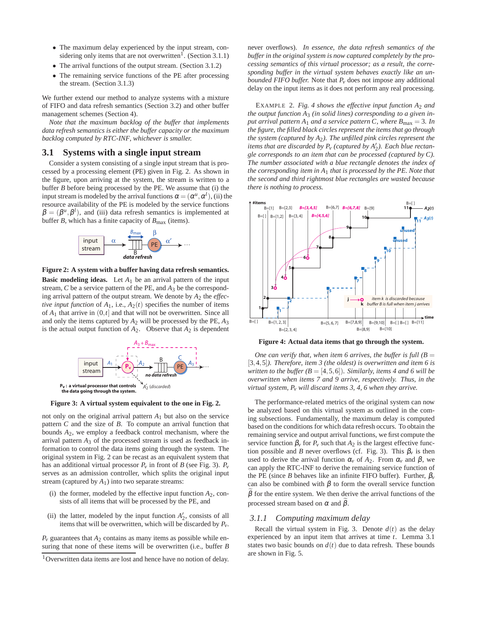- The maximum delay experienced by the input stream, considering only items that are not overwritten<sup>1</sup>. (Section 3.1.1)
- The arrival functions of the output stream. (Section 3.1.2)
- The remaining service functions of the PE after processing the stream. (Section 3.1.3)

We further extend our method to analyze systems with a mixture of FIFO and data refresh semantics (Section 3.2) and other buffer management schemes (Section 4).

*Note that the maximum backlog of the buffer that implements data refresh semantics is either the buffer capacity or the maximum backlog computed by RTC-INF, whichever is smaller.*

#### **3.1 Systems with a single input stream**

Consider a system consisting of a single input stream that is processed by a processing element (PE) given in Fig. 2. As shown in the figure, upon arriving at the system, the stream is written to a buffer *B* before being processed by the PE. We assume that (i) the input stream is modeled by the arrival functions  $\alpha = (\alpha^u, \alpha^l)$ , (ii) the resource availability of the PE is modeled by the service functions  $\beta = (\beta^u, \beta^l)$ , and (iii) data refresh semantics is implemented at buffer *B*, which has a finite capacity of  $B_{\text{max}}$  (items).



**Figure 2: A system with a buffer having data refresh semantics.**

**Basic modeling ideas.** Let *A*<sup>1</sup> be an arrival pattern of the input stream, *C* be a service pattern of the PE, and *A*<sup>3</sup> be the corresponding arrival pattern of the output stream. We denote by *A*<sup>2</sup> the *effective input function* of  $A_1$ , i.e.,  $A_2(t)$  specifies the number of items of  $A_1$  that arrive in  $(0,t]$  and that will not be overwritten. Since all and only the items captured by *A*<sup>2</sup> will be processed by the PE, *A*<sup>3</sup> is the actual output function of  $A_2$ . Observe that  $A_2$  is dependent



**Figure 3: A virtual system equivalent to the one in Fig. 2.**

not only on the original arrival pattern *A*<sup>1</sup> but also on the service pattern *C* and the size of *B*. To compute an arrival function that bounds *A*2, we employ a feedback control mechanism, where the arrival pattern  $A_3$  of the processed stream is used as feedback information to control the data items going through the system. The original system in Fig. 2 can be recast as an equivalent system that has an additional virtual processor  $P_v$  in front of *B* (see Fig. 3).  $P_v$ serves as an admission controller, which splits the original input stream (captured by  $A_1$ ) into two separate streams:

- (i) the former, modeled by the effective input function  $A_2$ , consists of all items that will be processed by the PE, and
- (ii) the latter, modeled by the input function  $A'_2$ , consists of all items that will be overwritten, which will be discarded by *Pv*.

 $P<sub>v</sub>$  guarantees that  $A<sub>2</sub>$  contains as many items as possible while ensuring that none of these items will be overwritten (i.e., buffer *B* never overflows). *In essence, the data refresh semantics of the buffer in the original system is now captured completely by the processing semantics of this virtual processor; as a result, the corresponding buffer in the virtual system behaves exactly like an unbounded FIFO buffer.* Note that  $P_\nu$  does not impose any additional delay on the input items as it does not perform any real processing.

EXAMPLE 2. *Fig. 4 shows the effective input function A*<sup>2</sup> *and the output function A*<sup>3</sup> *(in solid lines) corresponding to a given input arrival pattern*  $A_1$  *and a service pattern C, where*  $B_{\text{max}} = 3$ *. In the figure, the filled black circles represent the items that go through the system (captured by A*2*). The unfilled pink circles represent the items that are discarded by*  $P_\nu$  *(captured by*  $A'_2$ *). Each blue rectangle corresponds to an item that can be processed (captured by C). The number associated with a blue rectangle denotes the index of the corresponding item in A*<sup>1</sup> *that is processed by the PE. Note that the second and third rightmost blue rectangles are wasted because there is nothing to process.*



**Figure 4: Actual data items that go through the system.**

*One can verify that, when item 6 arrives, the buffer is full (B =*  $\overline{a}$ [3,4,5]*). Therefore, item 3 (the oldest) is overwritten and item 6 is written to the buffer*  $(B = [4, 5, 6])$ *. Similarly, items 4 and 6 will be overwritten when items 7 and 9 arrive, respectively. Thus, in the virtual system, Pv will discard items 3, 4, 6 when they arrive.*

The performance-related metrics of the original system can now be analyzed based on this virtual system as outlined in the coming subsections. Fundamentally, the maximum delay is computed based on the conditions for which data refresh occurs. To obtain the remaining service and output arrival functions, we first compute the service function  $\beta_v$  for  $P_v$  such that  $A_2$  is the largest effective function possible and *B* never overflows (cf. Fig. 3). This  $\beta_v$  is then used to derive the arrival function  $\alpha$ <sup>*ν*</sup> of  $A$ <sup>2</sup>. From  $\alpha$ <sup>*γ*</sup> and  $\beta$ , we can apply the RTC-INF to derive the remaining service function of the PE (since *B* behaves like an infinite FIFO buffer). Further,  $\beta$ <sub>*v*</sub> can also be combined with  $\beta$  to form the overall service function  $β$  for the entire system. We then derive the arrival functions of the processed stream based on  $\alpha$  and  $\beta$ .

#### *3.1.1 Computing maximum delay*

Recall the virtual system in Fig. 3. Denote  $d(t)$  as the delay experienced by an input item that arrives at time *t*. Lemma 3.1 states two basic bounds on  $d(t)$  due to data refresh. These bounds are shown in Fig. 5.

<sup>1</sup>Overwritten data items are lost and hence have no notion of delay.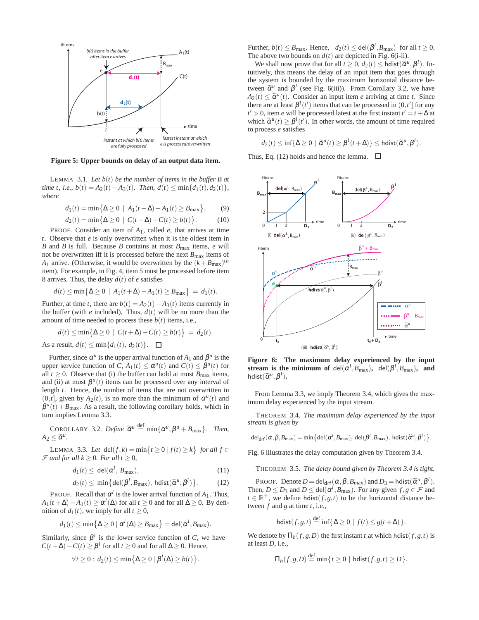

**Figure 5: Upper bounds on delay of an output data item.**

LEMMA 3.1. *Let b*(*t*) *be the number of items in the buffer B at time t, i.e.,*  $b(t) = A_2(t) - A_3(t)$ *. Then,*  $d(t) \le \min\{d_1(t), d_2(t)\}$ *, where*

$$
d_1(t) = \min\left\{\Delta \ge 0 \mid A_1(t + \Delta) - A_1(t) \ge B_{\max}\right\},\qquad(9)
$$

$$
d_2(t) = \min\{\Delta \ge 0 \mid C(t + \Delta) - C(t) \ge b(t)\}.
$$
 (10)

PROOF. Consider an item of *A*1, called *e*, that arrives at time *t*. Observe that *e* is only overwritten when it is the oldest item in *B* and *B* is full. Because *B* contains at most  $B_{\text{max}}$  items, *e* will not be overwritten iff it is processed before the next  $B_{\text{max}}$  items of  $A_1$  arrive. (Otherwise, it would be overwritten by the  $(k+B_{\text{max}})^{th}$ item). For example, in Fig. 4, item 5 must be processed before item 8 arrives. Thus, the delay  $d(t)$  of *e* satisfies

$$
d(t) \le \min\left\{\Delta \ge 0 \mid A_1(t + \Delta) - A_1(t) \ge B_{\max}\right\} = d_1(t).
$$

Further, at time *t*, there are  $b(t) = A_2(t) - A_3(t)$  items currently in the buffer (with  $e$  included). Thus,  $d(t)$  will be no more than the amount of time needed to process these  $b(t)$  items, i.e.,

$$
d(t) \le \min\bigl\{\Delta \ge 0 \, \mid \, C(t + \Delta) - C(t) \ge b(t)\bigr\} \, = \, d_2(t).
$$

As a result,  $d(t) \le \min\{d_1(t), d_2(t)\}\.$ 

Further, since  $\alpha^u$  is the upper arrival function of  $A_1$  and  $\beta^u$  is the upper service function of  $\tilde{C}$ ,  $A_1(t) \le \alpha^u(t)$  and  $C(t) \le \beta^u(t)$  for all  $t \geq 0$ . Observe that (i) the buffer can hold at most  $B_{\text{max}}$  items, and (ii) at most  $\beta^{u}(t)$  items can be processed over any interval of length *t*. Hence, the number of items that are not overwritten in  $(0,t]$ , given by  $A_2(t)$ , is no more than the minimum of  $\alpha^u(t)$  and  $\beta^{u}(t) + B_{\text{max}}$ . As a result, the following corollary holds, which in turn implies Lemma 3.3.

 $\overline{C}$ OROLLARY 3.2. *Define*  $\widetilde{\alpha}^u \stackrel{\text{def}}{=} \min\{\alpha^u, \beta^u + B_{\text{max}}\}.$  *Then,*  $A_2 \leq \widetilde{\alpha}^u.$ 

LEMMA 3.3. Let  $\text{del}(f, k) = \min\{t \ge 0 \mid f(t) \ge k\}$  for all  $f \in$ *F* and for all  $k \geq 0$ *. For all t*  $\geq 0$ *,* 

$$
d_1(t) \le \mathsf{del}(\alpha^l, B_{\max}),\tag{11}
$$

$$
d_2(t) \le \min\left\{\mathsf{del}(\beta^l, B_{\max}), \, \mathsf{hdist}(\widetilde{\alpha}^u, \beta^l)\right\}.
$$
 (12)

PROOF. Recall that  $\alpha^l$  is the lower arrival function of  $A_1$ . Thus, *A*<sub>1</sub>(*t* +∆)−*A*<sub>1</sub>(*t*) ≥  $\alpha^l$ (∆) for all *t* ≥ 0 and for all ∆ ≥ 0. By definition of  $d_1(t)$ , we imply for all  $t \geq 0$ ,

$$
d_1(t) \leq \min\left\{\Delta \geq 0 \mid \alpha^l(\Delta) \geq B_{\max}\right\} = \text{del}(\alpha^l, B_{\max}).
$$

Similarly, since  $\beta^l$  is the lower service function of *C*, we have  $C(t + \Delta) - C(t) \geq \beta^l$  for all  $t \geq 0$  and for all  $\Delta \geq 0$ . Hence,

$$
\forall t \geq 0 : d_2(t) \leq \min\left\{\Delta \geq 0 \mid \beta^l(\Delta) \geq b(t)\right\}.
$$

Further,  $b(t) \leq B_{\text{max}}$ . Hence,  $d_2(t) \leq \text{del}(\beta^l, B_{\text{max}})$  for all  $t \geq 0$ . The above two bounds on  $d(t)$  are depicted in Fig. 6(i-ii).

We shall now prove that for all  $t \geq 0$ ,  $d_2(t) \leq \text{hdist}(\tilde{\alpha}^u, \beta^l)$ . Intuitively, this means the delay of an input item that goes through the system is bounded by the maximum horizontal distance between  $\tilde{\alpha}^u$  and  $\beta^l$  (see Fig. 6(iii)). From Corollary 3.2, we have  $A_2(t) \leq \tilde{\alpha}^u(t)$ . Consider an input item *e* arriving at time *t*. Since there are at least  $\beta^l(t')$  items that can be processed in  $(0,t']$  for any  $t' > 0$ , item *e* will be processed latest at the first instant  $t' = t + \Delta$  at which  $\tilde{\alpha}^u(t) \geq \beta^l(t')$ . In other words, the amount of time required to process *e* satisfies

 $d_2(t) \leq \inf\{\Delta \geq 0 \mid \widetilde{\alpha}^u(t) \geq \beta^l(t + \Delta)\} \leq \mathsf{hdist}(\widetilde{\alpha}^u, \beta^l).$ 

Thus, Eq. (12) holds and hence the lemma.  $\Box$ 



**Figure 6: The maximum delay experienced by the input stream is the minimum of** del( $\alpha^{l}$ , $B_{\text{max}}$ ), del( $\beta^{l}$ , $B_{\text{max}}$ ), and  $h$ dist $(\widetilde{\alpha}^u, \beta^l)$ **.** 

From Lemma 3.3, we imply Theorem 3.4, which gives the maximum delay experienced by the input stream.

THEOREM 3.4. *The maximum delay experienced by the input stream is given by*

 $\mathsf{del}_{\mathsf{drf}}(\alpha,\beta,B_{\max}) = \min\bigl\{\mathsf{del}(\alpha^l,B_{\max}),\,\mathsf{del}(\beta^l,B_{\max}),\,\mathsf{hdist}(\widetilde{\alpha}^u,\beta^l)\bigr\}.$ 

Fig. 6 illustrates the delay computation given by Theorem 3.4.

THEOREM 3.5. *The delay bound given by Theorem 3.4 is tight.*

PROOF. Denote  $D = \text{del}_{\text{drf}}(\alpha, \beta, B_{\text{max}})$  and  $D_3 = \text{hdist}(\widetilde{\alpha}^u, \beta^l)$ . Then,  $D \leq D_3$  and  $D \leq$  del( $\alpha^l$ ,  $B_{\text{max}}$ ). For any given  $f, g \in \mathcal{F}$  and  $t \in \mathbb{R}^+$ , we define hdist $(f, g, t)$  to be the horizontal distance between *f* and *g* at time *t*, i.e.,

$$
\mathsf{hdist}(f,g,t) \stackrel{\text{def}}{=} \inf \{ \Delta \ge 0 \mid f(t) \le g(t + \Delta) \}.
$$

We denote by  $\Pi_h(f, g, D)$  the first instant *t* at which hdist( $f, g, t$ ) is at least *D*, i.e.,

$$
\Pi_h(f,g,D) \stackrel{\text{def}}{=} \min\{t \ge 0 \mid \mathsf{hdist}(f,g,t) \ge D\}.
$$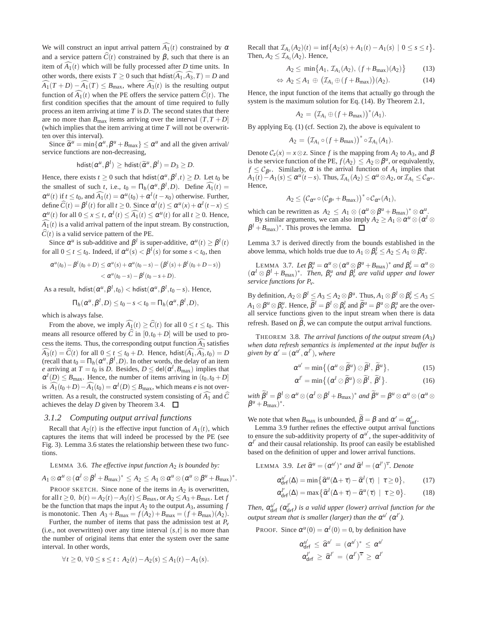We will construct an input arrival pattern  $\widehat{A_1}(t)$  constrained by  $\alpha$ and a service pattern  $\widehat{C}(t)$  constrained by  $\beta$ , such that there is an item of  $\widehat{A_1}(t)$  which will be fully processed after *D* time units. In other words, there exists  $T \ge 0$  such that  $\text{hdist}(\widehat{A}_1, \widehat{A}_3, T) = D$  and  $\widehat{A_1}(T+D) - \widehat{A_1}(T) \leq B_{\text{max}}$ , where  $\widehat{A_3}(t)$  is the resulting output function of  $\widehat{A_1}(t)$  when the PE offers the service pattern  $\widehat{C}(t)$ . The first condition specifies that the amount of time required to fully process an item arriving at time *T* is *D*. The second states that there are no more than  $B_{\text{max}}$  items arriving over the interval  $(T, T + D)$ (which implies that the item arriving at time *T* will not be overwritten over this interval).

Since  $\tilde{\alpha}^u = \min\{\alpha^u, \beta^u + B_{\text{max}}\} \le \alpha^u$  and all the given arrival/ service functions are non-decreasing,

$$
\mathsf{hdist}(\alpha^u, \beta^l) \geq \mathsf{hdist}(\widetilde{\alpha}^u, \beta^l) = D_3 \geq D.
$$

Hence, there exists  $t \geq 0$  such that hdist $(\alpha^u, \beta^l, t) \geq D$ . Let  $t_0$  be the smallest of such *t*, i.e.,  $t_0 = \prod_h (\alpha^u, \beta^l, D)$ . Define  $\widehat{A_1}(t) =$  $\alpha^{u}(t)$  if  $t \leq t_0$ , and  $\widehat{A_1}(t) = \alpha^{u}(t_0) + \alpha^{l}(t - x_0)$  otherwise. Further, define  $\widehat{C}(t) = \beta^l(t)$  for all  $t \ge 0$ . Since  $\alpha^l(t) \le \alpha^u(x) + \alpha^l(t - x) \le$  $\alpha^u(t)$  for all  $0 \le x \le t$ ,  $\alpha^l(t) \le \widehat{A_1}(t) \le \alpha^u(t)$  for all  $t \ge 0$ . Hence,  $\widehat{A_1}(t)$  is a valid arrival pattern of the input stream. By construction,  $\hat{C}(t)$  is a valid service pattern of the PE.

Since  $\alpha^u$  is sub-additive and  $\beta^l$  is super-additive,  $\alpha^u(t) \geq \beta^l(t)$ for all  $0 \le t \le t_0$ . Indeed, if  $\alpha^u(s) < \beta^l(s)$  for some  $s < t_0$ , then

$$
\alpha^{u}(t_0) - \beta^{l}(t_0 + D) \leq \alpha^{u}(s) + \alpha^{u}(t_0 - s) - (\beta^{l}(s) + \beta^{l}(t_0 + D - s)) < \alpha^{u}(t_0 - s) - \beta^{l}(t_0 - s + D).
$$

As a result,  $\mathsf{hdist}(\alpha^u,\beta^l,\iota_0) < \mathsf{hdist}(\alpha^u,\beta^l,\iota_0-s).$  Hence,

$$
\Pi_h(\alpha^u, \beta^l, D) \le t_0 - s < t_0 = \Pi_h(\alpha^u, \beta^l, D),
$$

which is always false.

From the above, we imply  $\widehat{A}_1(t) \geq \widehat{C}(t)$  for all  $0 \leq t \leq t_0$ . This means all resource offered by  $\widehat{C}$  in  $[0,t_0 + D]$  will be used to process the items. Thus, the corresponding output function  $\widehat{A_3}$  satisfies  $\widehat{A_3}(t) = \widehat{C}(t)$  for all  $0 \le t \le t_0 + D$ . Hence, hdist $(\widehat{A_1}, \widehat{A_3}, t_0) = D$ (recall that  $t_0 = \prod_h (\alpha^u, \beta^l, D)$ ). In other words, the delay of an item *e* arriving at  $T = t_0$  is *D*. Besides,  $D \le$  del( $\alpha^l$ ,  $B_{\text{max}}$ ) implies that  $\alpha^{l}(D) \leq B_{\text{max}}$ . Hence, the number of items arriving in  $(t_0, t_0 + D)$ is  $\widehat{A_1}(t_0+D) - \widehat{A_1}(t_0) = \alpha^l(D) \leq B_{\text{max}}$ , which means *e* is not overwritten. As a result, the constructed system consisting of  $\widehat{A_1}$  and  $\widehat{C}$ achieves the delay *D* given by Theorem 3.4.  $\Box$ 

#### *3.1.2 Computing output arrival functions*

Recall that  $A_2(t)$  is the effective input function of  $A_1(t)$ , which captures the items that will indeed be processed by the PE (see Fig. 3). Lemma 3.6 states the relationship between these two functions.

LEMMA 3.6. The effective input function 
$$
A_2
$$
 is bounded by:  
\n $A_1 \otimes \alpha^u \otimes (\alpha^l \otimes \beta^l + B_{\text{max}})^* \le A_2 \le A_1 \otimes \alpha^u \otimes (\alpha^u \otimes \beta^u + B_{\text{max}})^*.$ 

PROOF SKETCH. Since none of the items in  $A_2$  is overwritten, for all *t* ≥ 0, *b*(*t*) =  $A_2(t) - A_3(t) \le B_{\text{max}}$ , or  $A_2 \le A_3 + B_{\text{max}}$ . Let *f* be the function that maps the input  $A_2$  to the output  $A_3$ , assuming  $f$ is monotonic. Then  $A_3 + B_{\text{max}} = f(A_2) + B_{\text{max}} = (f + B_{\text{max}})(A_2)$ .

Further, the number of items that pass the admission test at *Pv* (i.e., not overwritten) over any time interval  $(s, t]$  is no more than the number of original items that enter the system over the same interval. In other words,

$$
\forall t \geq 0, \ \forall 0 \leq s \leq t : A_2(t) - A_2(s) \leq A_1(t) - A_1(s).
$$

Recall that  $\mathcal{I}_{A_1}(A_2)(t) = \inf \{ A_2(s) + A_1(t) - A_1(s) \mid 0 \le s \le t \}.$ Then,  $A_2 \leq I_{A_1}(A_2)$ . Hence,

$$
A_2 \leq \min\{A_1, \mathcal{I}_{A_1}(A_2), (f + B_{\max})(A_2)\} \tag{13}
$$

$$
\Leftrightarrow A_2 \le A_1 \oplus \left(\mathcal{I}_{A_1} \oplus (f + B_{\text{max}})\right)(A_2). \tag{14}
$$

Hence, the input function of the items that actually go through the system is the maximum solution for Eq. (14). By Theorem 2.1,

$$
A_2 = \big(\mathcal{I}_{A_1} \oplus (f + B_{\text{max}})\big)^* (A_1).
$$

By applying Eq. (1) (cf. Section 2), the above is equivalent to

$$
A_2 = \big(\mathcal{I}_{A_1} \circ (f + B_{\text{max}})\big)^* \circ \mathcal{I}_{A_1}(A_1).
$$

Denote  $C_z(x) = x \otimes z$ . Since *f* is the mapping from *A*<sub>2</sub> to *A*<sub>3</sub>, and *β* is the service function of the PE,  $f(A_2) \leq A_2 \otimes \beta^u$ , or equivalently,  $f \leq C_{\beta^u}$ . Similarly,  $\alpha$  is the arrival function of  $A_1$  implies that  $A_1(t) - A_1(s) \le \alpha^u(t-s)$ . Thus,  $\mathcal{I}_{A_1}(A_2) \le \alpha^u \otimes A_2$ , or  $\mathcal{I}_{A_1} \le \mathcal{C}_{\alpha^u}$ . Hence,

$$
A_2 \leq \big(\mathcal{C}_{\alpha^u} \circ (\mathcal{C}_{\beta^u} + B_{\max})\big)^* \circ \mathcal{C}_{\alpha^u}(A_1),
$$

which can be rewritten as  $A_2 \leq A_1 \otimes (\alpha^u \otimes \beta^u + B_{\text{max}})^* \otimes \alpha^u$ . By similar arguments, we can also imply  $A_2 \geq A_1 \otimes \alpha^u \otimes (\alpha^l \otimes$  $\beta^l + B_{\text{max}}$ <sup>\*</sup>. This proves the lemma.

Lemma 3.7 is derived directly from the bounds established in the above lemma, which holds true due to  $A_1 \otimes \beta_v^l \leq A_2 \leq A_1 \otimes \beta_v^u$ .

LEMMA 3.7. Let  $\beta_v^u = \alpha^u \otimes (\alpha^u \otimes \beta^u + B_{\text{max}})^*$  and  $\beta_v^l = \alpha^u \otimes$  $(\alpha^l \otimes \beta^l + B_{\text{max}})^*$ . Then,  $\beta_v^u$  and  $\beta_v^l$  are valid upper and lower *service functions for Pv.*

By definition,  $A_2\otimes\beta^l\leq A_3\leq A_2\otimes\beta^u$ . Thus,  $A_1\otimes\beta^l\otimes\beta^l_v\leq A_3\leq$  $A_1\otimes\beta^u\otimes\beta^u_\nu$ . Hence,  $\widetilde{\beta}^l=\beta^l\otimes\beta^l_\nu$  and  $\widetilde{\beta}^u=\beta^u\otimes\beta^u_\nu$  are the overall service functions given to the input stream when there is data refresh. Based on  $\beta$ , we can compute the output arrival functions.

THEOREM 3.8. *The arrival functions of the output stream (A*3*) when data refresh semantics is implemented at the input buffer is* given by  $\alpha' = (\alpha^{u'}, \alpha^{l'})$ , where

$$
\alpha^{u'} = \min\left\{ \left( \alpha^u \otimes \widetilde{\beta}^u \right) \oslash \widetilde{\beta}^l, \widetilde{\beta}^u \right\},\tag{15}
$$

$$
\alpha^{l'} = \min\left\{ \left( \alpha^l \oslash \widetilde{\beta}^u \right) \otimes \widetilde{\beta}^l, \widetilde{\beta}^l \right\}.
$$
 (16)

 $with \,\widetilde{\beta}^l = \beta^l\otimes\alpha^u\otimes(\alpha^l\otimes\beta^l + B_{\max})^*$  and  $\widetilde{\beta}^u = \beta^u\otimes\alpha^u\otimes(\alpha^u\otimes\beta^u)$  $\beta^u + B_{\text{max}}$ <sup>\*</sup>.

We note that when  $B_{\text{max}}$  is unbounded,  $\hat{\beta} = \beta$  and  $\alpha' = \alpha'_{\text{inf}}$ .

Lemma 3.9 further refines the effective output arrival functions to ensure the sub-additivity property of  $\alpha^{u'}$ , the super-additivity of  $\alpha^{\mu}$  and their causal relationship. Its proof can easily be established based on the definition of upper and lower arrival functions.

LEMMA 3.9. Let 
$$
\widehat{\alpha}^u = (\alpha^{u'})^*
$$
 and  $\widehat{\alpha}^l = (\alpha^{l'})^*$ . Denote

$$
\alpha_{\text{drf}}^{u'}(\Delta) = \min \bigl\{ \widehat{\alpha}^u(\Delta + \tau) - \widehat{\alpha}^l(\tau) \ \mid \ \tau \ge 0 \bigr\},\tag{17}
$$

$$
\alpha_{\rm drf}^{l'}(\Delta) = \max \left\{ \widehat{\alpha}^l(\Delta + \tau) - \widehat{\alpha}^u(\tau) \mid \tau \ge 0 \right\}.
$$
 (18)

*Then,*  $\alpha_{\text{dif}}^{u'}$  *(* $\alpha_{\text{dif}}^{l'}$ *) is a valid upper (lower) arrival function for the output stream that is smaller (larger) than the*  $\alpha^{u'}$  ( $\alpha^{l'}$ ).

PROOF. Since  $\alpha^u(0) = \alpha^l(0) = 0$ , by definition have

$$
\begin{array}{l} \alpha_{\sf{drf}}^{u'} \leq \widehat{\alpha}^{u'} = (\alpha^{u'})^* \leq \alpha^{u'}\\ \alpha_{\sf{drf}}^{l'} \geq \widehat{\alpha}^{l'} = (\alpha^{l'})^* \geq \alpha^{l'} \end{array}
$$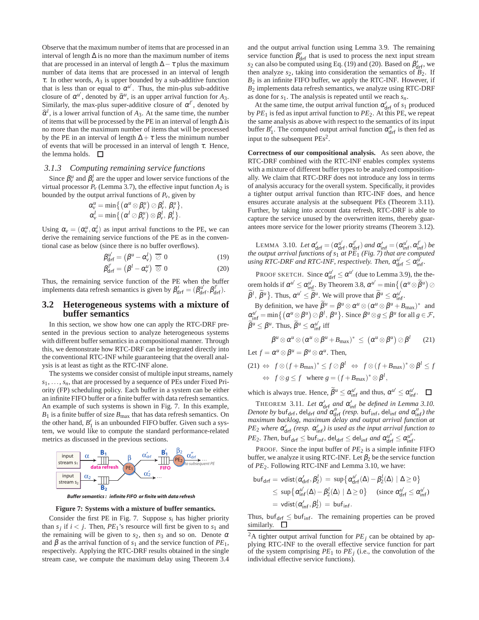Observe that the maximum number of items that are processed in an interval of length  $\Delta$  is no more than the maximum number of items that are processed in an interval of length  $\Delta-\tau$  plus the maximum number of data items that are processed in an interval of length  $\tau$ . In other words,  $A_3$  is upper bounded by a sub-additive function that is less than or equal to  $\alpha^{u'}$ . Thus, the min-plus sub-additive closure of  $\alpha^{u'}$ , denoted by  $\widehat{\alpha}^u$ , is an upper arrival function for *A*<sub>3</sub>. Similarly, the max-plus super-additive closure of  $\alpha^l$ , denoted by  $\hat{\alpha}^l$ , is a lower arrival function of *A*<sub>3</sub>. At the same time, the number of items that will be processed by the PE in an interval of length  $\Delta$  is no more than the maximum number of items that will be processed by the PE in an interval of length  $\Delta + \tau$  less the minimum number of events that will be processed in an interval of length  $\tau$ . Hence, the lemma holds.  $\square$ 

#### *3.1.3 Computing remaining service functions*

Since  $\beta_v^u$  and  $\beta_v^l$  are the upper and lower service functions of the virtual processor  $P_\nu$  (Lemma 3.7), the effective input function  $A_2$  is bounded by the output arrival functions of  $P_v$ , given by

$$
\begin{array}{l} \alpha_v^u=\min\bigl\{\left(\alpha^u\otimes\beta_v^u\right)\oslash\beta_v^l,\,\beta_v^u\bigr\},\\ \alpha_v^l=\min\bigl\{\left(\alpha^l\oslash\beta_v^u\right)\otimes\beta_v^l,\,\beta_v^l\bigr\}.\end{array}
$$

Using  $\alpha_v = (\alpha_v^u, \alpha_v^l)$  as input arrival functions to the PE, we can derive the remaining service functions of the PE as in the conventional case as below (since there is no buffer overflows).

$$
\begin{aligned}\n\beta_{\text{drf}}^{u'} &= \left(\beta^u - \alpha_v^l\right) \,\,\overline{\odot}\, \,0 \\
\beta_{\text{drf}}^l &= \left(\beta^l - \alpha_v^u\right) \,\,\overline{\odot}\, \,0\n\end{aligned}\n\tag{19}
$$

Thus, the remaining service function of the PE when the buffer implements data refresh semantics is given by  $\beta'_{\text{drf}} = (\beta_{\text{drf}}^{u'}, \beta_{\text{drf}}^{l'})$ .

## **3.2 Heterogeneous systems with a mixture of buffer semantics**

In this section, we show how one can apply the RTC-DRF presented in the previous section to analyze heterogeneous systems with different buffer semantics in a compositional manner. Through this, we demonstrate how RTC-DRF can be integrated directly into the conventional RTC-INF while guaranteeing that the overall analysis is at least as tight as the RTC-INF alone.

The systems we consider consist of multiple input streams, namely *s*1, ..., *sn*, that are processed by a sequence of PEs under Fixed Priority (FP) scheduling policy. Each buffer in a system can be either an infinite FIFO buffer or a finite buffer with data refresh semantics. An example of such systems is shown in Fig. 7. In this example,  $B_1$  is a finite buffer of size  $B_{\text{max}}$  that has data refresh semantics. On the other hand,  $B'_1$  is an unbounded FIFO buffer. Given such a system, we would like to compute the standard performance-related metrics as discussed in the previous sections.



 *Buffer semantics : infinite FIFO or finite with data refresh* 

### **Figure 7: Systems with a mixture of buffer semantics.**

Consider the first PE in Fig. 7. Suppose  $s_i$  has higher priority than  $s_j$  if  $i < j$ . Then,  $PE_1$ 's resource will first be given to  $s_1$  and the remaining will be given to  $s_2$ , then  $s_3$  and so on. Denote  $\alpha$ and  $\beta$  as the arrival function of  $s_1$  and the service function of  $PE_1$ , respectively. Applying the RTC-DRF results obtained in the single stream case, we compute the maximum delay using Theorem 3.4 and the output arrival function using Lemma 3.9. The remaining service function  $\beta_{\text{drf}}'$  that is used to process the next input stream  $s_2$  can also be computed using Eq. (19) and (20). Based on  $\beta'_{\text{drf}}$ , we then analyze  $s_2$ , taking into consideration the semantics of  $B_2$ . If  $B_2$  is an infinite FIFO buffer, we apply the RTC-INF. However, if  $B_2$  implements data refresh semantics, we analyze using RTC-DRF as done for *s*1. The analysis is repeated until we reach *sn*.

At the same time, the output arrival function  $\alpha'_{\text{drf}}$  of  $s_1$  produced by *PE*<sup>1</sup> is fed as input arrival function to *PE*2. At this PE, we repeat the same analysis as above with respect to the semantics of its input buffer  $B'_1$ . The computed output arrival function  $\alpha''_{\text{drf}}$  is then fed as input to the subsequent  $PEs^2$ .

**Correctness of our compositional analysis.** As seen above, the RTC-DRF combined with the RTC-INF enables complex systems with a mixture of different buffer types to be analyzed compositionally. We claim that RTC-DRF does not introduce any loss in terms of analysis accuracy for the overall system. Specifically, it provides a tighter output arrival function than RTC-INF does, and hence ensures accurate analysis at the subsequent PEs (Theorem 3.11). Further, by taking into account data refresh, RTC-DRF is able to capture the service unused by the overwritten items, thereby guarantees more service for the lower priority streams (Theorem 3.12).

LEMMA 3.10. Let  $\alpha'_{\text{drf}} = (\alpha_{\text{drf}}^{u'}, \alpha_{\text{drf}}^{l'})$  and  $\alpha'_{\text{inf}} = (\alpha_{\text{inf}}^{u'}, \alpha_{\text{inf}}^{l'})$  be *the output arrival functions of s*<sup>1</sup> *at PE*<sup>1</sup> *(Fig. 7) that are computed using RTC-DRF and RTC-INF, respectively. Then,*  $\alpha_{\text{drf}}^{u'} \leq \alpha_{\text{inf}}^{u'}$ .

PROOF SKETCH. Since  $\alpha_{\text{drf}}^{u'} \leq \alpha^{u'}$  (due to Lemma 3.9), the theorem holds if  $\alpha^{u'} \leq \alpha_{\text{inf}}^{u'}$ . By Theorem 3.8,  $\alpha^{u'} = \min\left\{(\alpha^u \otimes \widetilde{\beta}^u) \oslash \alpha^u\right\}$  $\widetilde{\beta}^l$ ,  $\widetilde{\beta}^u$ }. Thus,  $\alpha^{u'} \leq \widetilde{\beta}^u$ . We will prove that  $\widetilde{\beta}^u \leq \alpha_{\text{inf}}^{u'}$ .

By definition, we have  $\widetilde{\beta}^u = \beta^u \otimes \alpha^u \otimes (\alpha^u \otimes \beta^u + B_{\text{max}})^*$  and  $\alpha_{\text{inf}}^{u'} = \min \{ (\alpha^u \otimes \beta^u) \otimes \beta^l, \beta^u \}.$  Since  $\beta^u \otimes g \leq \beta^u$  for all  $g \in \mathcal{F}$ ,  $\widetilde{\beta}^u \leq \beta^u$ . Thus,  $\widetilde{\beta}^u \leq \alpha_{\mathsf{inf}}^{u'}$  iff

$$
\beta^u \otimes \alpha^u \otimes (\alpha^u \otimes \beta^u + B_{\text{max}})^* \ \leq \ \left(\alpha^u \otimes \beta^u\right) \otimes \beta^l \qquad (21)
$$

Let  $f = \alpha^u \otimes \beta^u = \beta^u \otimes \alpha^u$ . Then,

$$
(21) \Leftrightarrow f \otimes (f + B_{\text{max}})^* \le f \otimes \beta^l \Leftrightarrow f \otimes (f + B_{\text{max}})^* \otimes \beta^l \le f
$$
  

$$
\Leftrightarrow f \otimes g \le f \text{ where } g = (f + B_{\text{max}})^* \otimes \beta^l,
$$

which is always true. Hence,  $\widetilde{\beta}^u \leq \alpha_{\text{inf}}^{u'}$  and thus,  $\alpha^{u'} \leq \alpha_{\text{inf}}^{u'}$ .

THEOREM 3.11. Let  $\alpha'_{\text{drf}}$  and  $\alpha'_{\text{inf}}$  be defined in Lemma 3.10. *Denote by* buf<sub>drf</sub>, del<sub>drf</sub> *and*  $\alpha''_{\text{drf}}$  *(resp.* buf<sub>inf</sub>, del<sub>inf</sub> *and*  $\alpha''_{\text{inf}}$ *)* the *maximum backlog, maximum delay and output arrival function at*  $PE_2$  *where*  $\alpha'_{\text{dif}}$  (resp.  $\alpha'_{\text{inf}}$ ) is used as the input arrival function to  $PE_2$ *. Then,* buf<sub>drf</sub>  $\leq$  buf<sub>inf</sub>, del<sub>drf</sub>  $\leq$  del<sub>inf</sub> *and*  $\alpha_{\sf df}^{u''} \leq \alpha_{\sf inf}^{u''}$ .

PROOF. Since the input buffer of  $PE<sub>2</sub>$  is a simple infinite FIFO buffer, we analyze it using RTC-INF. Let  $\beta_2$  be the service function of *PE*2. Following RTC-INF and Lemma 3.10, we have:

$$
\begin{aligned} \mathsf{buf}_{\mathsf{drf}}&=\mathsf{vdist}(\alpha'_{\mathsf{drf}},\beta_2^l)\,=\,\sup\bigl\{\alpha''_{\mathsf{drf}}(\Delta)-\beta_2^l(\Delta)\mid\Delta\geq 0\bigr\}\\ &\leq \,\sup\bigl\{\alpha''_{\mathsf{inf}}(\Delta)-\beta_2^l(\Delta)\mid\Delta\geq 0\bigr\} \quad\quad(\text{since }\alpha''_{\mathsf{drf}}\leq \alpha'''_{\mathsf{inf}})\\ &=\,\mathsf{vdist}(\alpha'_{\mathsf{inf}},\beta_2^l)\,=\,\mathsf{buf}_{\mathsf{inf}}.\end{aligned}
$$

Thus, buf<sub>drf</sub>  $\leq$  buf<sub>inf</sub>. The remaining properties can be proved similarly.  $\square$ 

<sup>&</sup>lt;sup>2</sup>A tighter output arrival function for  $PE<sub>j</sub>$  can be obtained by applying RTC-INF to the overall effective service function for part of the system comprising  $PE<sub>1</sub>$  to  $PE<sub>j</sub>$  (i.e., the convolution of the individual effective service functions).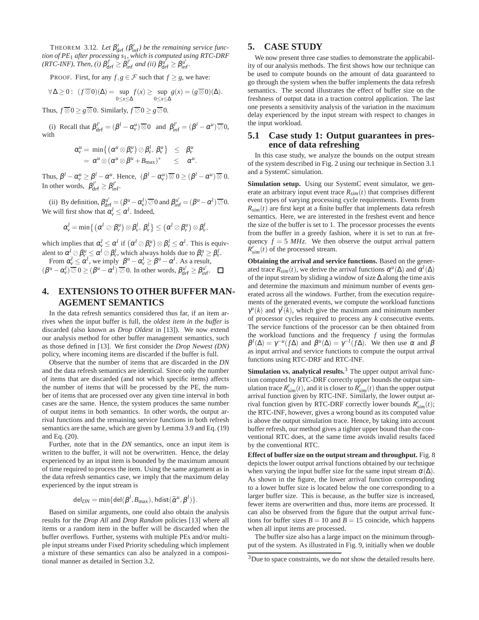THEOREM 3.12. Let  $\beta_{\text{drf}}'$  ( $\beta_{\text{inf}}'$ ) be the remaining service func*tion of PE*<sup>1</sup> *after processing s*1*, which is computed using RTC-DRF*  $(RTC\text{-}INF)$ , Then, (i)  $\beta_{\text{drf}}^{l'} \geq \beta_{\text{inf}}^{l'}$  and (ii)  $\beta_{\text{drf}}^{u'} \geq \beta_{\text{inf}}^{u'}$ .

PROOF. First, for any  $f, g \in \mathcal{F}$  such that  $f \geq g$ , we have:

$$
\forall \Delta \geq 0: (f \overline{\otimes} 0)(\Delta) = \sup_{0 \leq x \leq \Delta} f(x) \geq \sup_{0 \leq x \leq \Delta} g(x) = (g \overline{\otimes} 0)(\Delta).
$$

Thus,  $f \overline{\otimes} 0 \ge g \overline{\otimes} 0$ . Similarly,  $f \overline{\otimes} 0 \ge g \overline{\otimes} 0$ .

(i) Recall that  $\beta_{\text{drf}}^{l'} = (\beta^l - \alpha_v^u) \overline{\otimes} 0$  and  $\beta_{\text{inf}}^{l'} = (\beta^l - \alpha^u) \overline{\otimes} 0$ , with

$$
\begin{array}{rcl}\n\alpha_{\nu}^{u} &=& \min \big\{\left(\alpha^{u} \otimes \beta_{\nu}^{u}\right) \oslash \beta_{\nu}^{l},\, \beta_{\nu}^{u} \big\} & \leq & \beta_{\nu}^{u} \\
&=& \alpha^{u} \otimes \left(\alpha^{u} \otimes \beta^{u} + B_{\text{max}}\right)^{*} & \leq & \alpha^{u}\n\end{array}
$$

.

Thus,  $\beta^l - \alpha_v^u \ge \beta^l - \alpha^u$ . Hence,  $(\beta^l - \alpha_v^u) \overline{\otimes} 0 \ge (\beta^l - \alpha^u) \overline{\otimes} 0$ . In other words,  $\beta_{\text{drf}}^{l'} \geq \beta_{\text{inf}}^{l'}$ .

(ii) By definition,  $\beta_{\text{drf}}^{u'} = (\beta^u - \alpha_v^l) \overline{\odot} 0$  and  $\beta_{\text{inf}}^{u'} = (\beta^u - \alpha^l) \overline{\odot} 0$ . We will first show that  $\alpha_v^l \leq \alpha^l$ . Indeed,

$$
\alpha_v^l=\min\bigl\{\, (\alpha^l\oslash \beta_v^u)\otimes \beta_v^l,\, \beta_v^l\,\bigr\}\leq \bigl(\alpha^l\oslash \beta_v^u\bigr)\otimes \beta_v^l,
$$

which implies that  $\alpha_v^l \leq \alpha^l$  if  $(\alpha^l \oslash \beta_v^u) \otimes \beta_v^l \leq \alpha^l$ . This is equivalent to  $\alpha^l \otimes \beta^u_v \leq \alpha^l \otimes \beta^l_v$ , which always holds due to  $\beta^u_v \geq \beta^l_v$ .

From  $\alpha_v^l \leq \alpha^l$ , we imply  $\beta^u - \alpha_v^l \geq \beta^u - \alpha^l$ . As a result,  $(\beta^u - \alpha_v^l) \overline{\odot} 0 \geq (\beta^u - \alpha^l) \overline{\odot} 0$ . In other words,  $\beta_{\text{drf}}^{u'} \geq \beta_{\text{inf}}^{u'}$ .

# **4. EXTENSIONS TO OTHER BUFFER MAN-AGEMENT SEMANTICS**

In the data refresh semantics considered thus far, if an item arrives when the input buffer is full, the *oldest item in the buffer* is discarded (also known as *Drop Oldest* in [13]). We now extend our analysis method for other buffer management semantics, such as those defined in [13]. We first consider the *Drop Newest (DN)* policy, where incoming items are discarded if the buffer is full.

Observe that the number of items that are discarded in the *DN* and the data refresh semantics are identical. Since only the number of items that are discarded (and not which specific items) affects the number of items that will be processed by the PE, the number of items that are processed over any given time interval in both cases are the same. Hence, the system produces the same number of output items in both semantics. In other words, the output arrival functions and the remaining service functions in both refresh semantics are the same, which are given by Lemma 3.9 and Eq. (19) and Eq. (20).

Further, note that in the *DN* semantics, once an input item is written to the buffer, it will not be overwritten. Hence, the delay experienced by an input item is bounded by the maximum amount of time required to process the item. Using the same argument as in the data refresh semantics case, we imply that the maximum delay experienced by the input stream is

 $\mathsf{del}_{DN} = \min\{\mathsf{del}(\boldsymbol{\beta}^l,\boldsymbol{B}_{\max}), \mathsf{hdist}(\widetilde{\boldsymbol{\alpha}}^u,\boldsymbol{\beta}^l)\}.$ 

Based on similar arguments, one could also obtain the analysis results for the *Drop All* and *Drop Random* policies [13] where all items or a random item in the buffer will be discarded when the buffer overflows. Further, systems with multiple PEs and/or multiple input streams under Fixed Priority scheduling which implement a mixture of these semantics can also be analyzed in a compositional manner as detailed in Section 3.2.

# **5. CASE STUDY**

We now present three case studies to demonstrate the applicability of our analysis methods. The first shows how our technique can be used to compute bounds on the amount of data guaranteed to go through the system when the buffer implements the data refresh semantics. The second illustrates the effect of buffer size on the freshness of output data in a traction control application. The last one presents a sensitivity analysis of the variation in the maximum delay experienced by the input stream with respect to changes in the input workload.

# **5.1 Case study 1: Output guarantees in presence of data refreshing**

In this case study, we analyze the bounds on the output stream of the system described in Fig. 2 using our technique in Section 3.1 and a SystemC simulation.

**Simulation setup.** Using our SystemC event simulator, we generate an arbitrary input event trace  $R_{sim}(t)$  that comprises different event types of varying processing cycle requirements. Events from  $R_{sim}(t)$  are first kept at a finite buffer that implements data refresh semantics. Here, we are interested in the freshest event and hence the size of the buffer is set to 1. The processor processes the events from the buffer in a greedy fashion, where it is set to run at frequency  $f = 5 MHz$ . We then observe the output arrival pattern  $R'_{sim}(t)$  of the processed stream.

**Obtaining the arrival and service functions.** Based on the generated trace  $R_{sim}(t)$ , we derive the arrival functions  $\alpha^u(\Delta)$  and  $\alpha^l(\Delta)$ of the input stream by sliding a window of size ∆ along the time axis and determine the maximum and minimum number of events generated across all the windows. Further, from the execution requirements of the generated events, we compute the workload functions  $\gamma^{\mu}(k)$  and  $\gamma^{l}(k)$ , which give the maximum and minimum number of processor cycles required to process any *k* consecutive events. The service functions of the processor can be then obtained from the workload functions and the frequency *f* using the formulas  $\beta^l(\Delta) = \gamma^{-u}(f\Delta)$  and  $\beta^u(\Delta) = \gamma^{-l}(f\Delta)$ . We then use  $\alpha$  and  $\beta$ as input arrival and service functions to compute the output arrival functions using RTC-DRF and RTC-INF.

**Simulation vs. analytical results.**<sup>3</sup> The upper output arrival function computed by RTC-DRF correctly upper bounds the output simulation trace  $R'_{sim}(t)$ , and it is closer to  $R'_{sim}(t)$  than the upper output arrival function given by RTC-INF. Similarly, the lower output arrival function given by RTC-DRF correctly lower bounds  $R'_{sim}(t)$ ; the RTC-INF, however, gives a wrong bound as its computed value is above the output simulation trace. Hence, by taking into account buffer refresh, our method gives a tighter upper bound than the conventional RTC does, at the same time avoids invalid results faced by the conventional RTC.

**Effect of buffer size on the output stream and throughput.** Fig. 8 depicts the lower output arrival functions obtained by our technique when varying the input buffer size for the same input stream  $\alpha(\Delta)$ . As shown in the figure, the lower arrival function corresponding to a lower buffer size is located below the one corresponding to a larger buffer size. This is because, as the buffer size is increased, fewer items are overwritten and thus, more items are processed. It can also be observed from the figure that the output arrival functions for buffer sizes  $B = 10$  and  $B = 15$  coincide, which happens when all input items are processed.

The buffer size also has a large impact on the minimum throughput of the system. As illustrated in Fig. 9, initially when we double

 $3$ Due to space constraints, we do not show the detailed results here.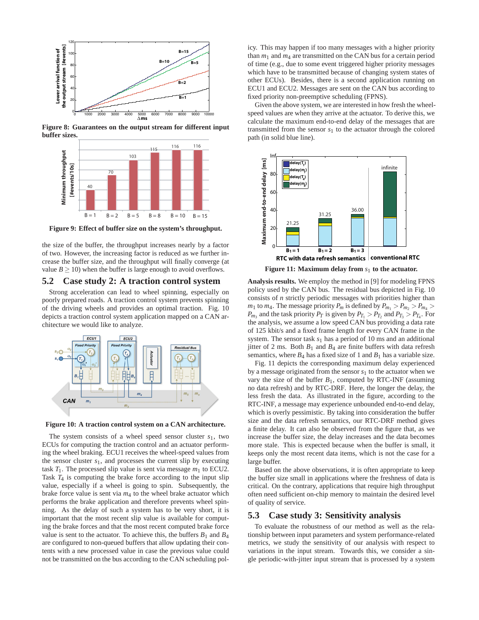

**Figure 8: Guarantees on the output stream for different input buffer sizes.**



**Figure 9: Effect of buffer size on the system's throughput.**

the size of the buffer, the throughput increases nearly by a factor of two. However, the increasing factor is reduced as we further increase the buffer size, and the throughput will finally converge (at value  $B \ge 10$ ) when the buffer is large enough to avoid overflows.

#### **5.2 Case study 2: A traction control system**

Strong acceleration can lead to wheel spinning, especially on poorly prepared roads. A traction control system prevents spinning of the driving wheels and provides an optimal traction. Fig. 10 depicts a traction control system application mapped on a CAN architecture we would like to analyze.



**Figure 10: A traction control system on a CAN architecture.**

The system consists of a wheel speed sensor cluster  $s<sub>1</sub>$ , two ECUs for computing the traction control and an actuator performing the wheel braking. ECU1 receives the wheel-speed values from the sensor cluster  $s_1$ , and processes the current slip by executing task  $T_1$ . The processed slip value is sent via message  $m_1$  to ECU2. Task *T*<sup>4</sup> is computing the brake force according to the input slip value, especially if a wheel is going to spin. Subsequently, the brake force value is sent via  $m_4$  to the wheel brake actuator which performs the brake application and therefore prevents wheel spinning. As the delay of such a system has to be very short, it is important that the most recent slip value is available for computing the brake forces and that the most recent computed brake force value is sent to the actuator. To achieve this, the buffers  $B_1$  and  $B_4$ are configured to non-queued buffers that allow updating their contents with a new processed value in case the previous value could not be transmitted on the bus according to the CAN scheduling policy. This may happen if too many messages with a higher priority than  $m_1$  and  $m_4$  are transmitted on the CAN bus for a certain period of time (e.g., due to some event triggered higher priority messages which have to be transmitted because of changing system states of other ECUs). Besides, there is a second application running on ECU1 and ECU2. Messages are sent on the CAN bus according to fixed priority non-preemptive scheduling (FPNS).

Given the above system, we are interested in how fresh the wheelspeed values are when they arrive at the actuator. To derive this, we calculate the maximum end-to-end delay of the messages that are transmitted from the sensor  $s_1$  to the actuator through the colored path (in solid blue line).



**Analysis results.** We employ the method in [9] for modeling FPNS policy used by the CAN bus. The residual bus depicted in Fig. 10 consists of *n* strictly periodic messages with priorities higher than *m*<sub>1</sub> to *m*<sub>4</sub>. The message priority *P<sub>m</sub>* is defined by  $P_{m_1} > P_{m_2} > P_{m_4}$  $P_{m_3}$  and the task priority  $P_T$  is given by  $P_{T_1} > P_{T_2}$  and  $P_{T_3} > P_{T_4}$ . For the analysis, we assume a low speed CAN bus providing a data rate of 125 kbit/s and a fixed frame length for every CAN frame in the system. The sensor task  $s_1$  has a period of 10 ms and an additional jitter of 2 ms. Both  $B_1$  and  $B_4$  are finite buffers with data refresh semantics, where  $B_4$  has a fixed size of 1 and  $B_1$  has a variable size.

Fig. 11 depicts the corresponding maximum delay experienced by a message originated from the sensor *s*<sup>1</sup> to the actuator when we vary the size of the buffer  $B_1$ , computed by RTC-INF (assuming no data refresh) and by RTC-DRF. Here, the longer the delay, the less fresh the data. As illustrated in the figure, according to the RTC-INF, a message may experience unbounded end-to-end delay, which is overly pessimistic. By taking into consideration the buffer size and the data refresh semantics, our RTC-DRF method gives a finite delay. It can also be observed from the figure that, as we increase the buffer size, the delay increases and the data becomes more stale. This is expected because when the buffer is small, it keeps only the most recent data items, which is not the case for a large buffer.

Based on the above observations, it is often appropriate to keep the buffer size small in applications where the freshness of data is critical. On the contrary, applications that require high throughput often need sufficient on-chip memory to maintain the desired level of quality of service.

#### **5.3 Case study 3: Sensitivity analysis**

To evaluate the robustness of our method as well as the relationship between input parameters and system performance-related metrics, we study the sensitivity of our analysis with respect to variations in the input stream. Towards this, we consider a single periodic-with-jitter input stream that is processed by a system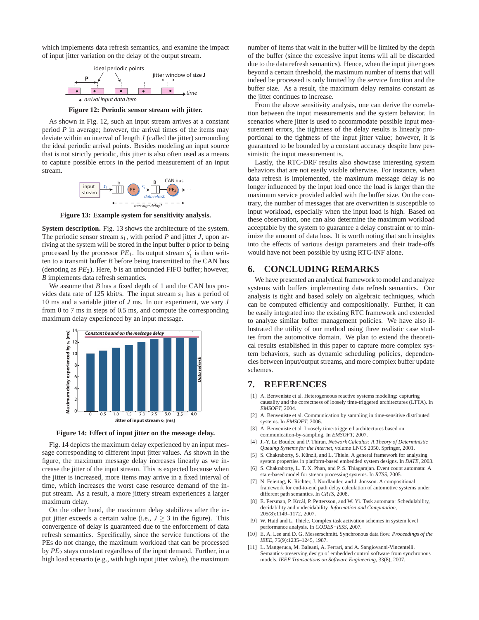which implements data refresh semantics, and examine the impact of input jitter variation on the delay of the output stream.



**Figure 12: Periodic sensor stream with jitter.**

As shown in Fig. 12, such an input stream arrives at a constant period *P* in average; however, the arrival times of the items may deviate within an interval of length *J* (called the jitter) surrounding the ideal periodic arrival points. Besides modeling an input source that is not strictly periodic, this jitter is also often used as a means to capture possible errors in the period measurement of an input stream.



**Figure 13: Example system for sensitivity analysis.**

**System description.** Fig. 13 shows the architecture of the system. The periodic sensor stream *s*1, with period *P* and jitter *J*, upon arriving at the system will be stored in the input buffer *b* prior to being processed by the processor  $PE_1$ . Its output stream  $s'_1$  is then written to a transmit buffer *B* before being transmitted to the CAN bus (denoting as *PE*2). Here, *b* is an unbounded FIFO buffer; however, *B* implements data refresh semantics.

We assume that *B* has a fixed depth of 1 and the CAN bus provides data rate of 125 kbit/s. The input stream *s*<sup>1</sup> has a period of 10 ms and a variable jitter of *J* ms. In our experiment, we vary *J* from 0 to 7 ms in steps of 0.5 ms, and compute the corresponding maximum delay experienced by an input message.



**Figure 14: Effect of input jitter on the message delay.**

Fig. 14 depicts the maximum delay experienced by an input message corresponding to different input jitter values. As shown in the figure, the maximum message delay increases linearly as we increase the jitter of the input stream. This is expected because when the jitter is increased, more items may arrive in a fixed interval of time, which increases the worst case resource demand of the input stream. As a result, a more jittery stream experiences a larger maximum delay.

On the other hand, the maximum delay stabilizes after the input jitter exceeds a certain value (i.e.,  $J \geq 3$  in the figure). This convergence of delay is guaranteed due to the enforcement of data refresh semantics. Specifically, since the service functions of the PEs do not change, the maximum workload that can be processed by *PE*<sup>2</sup> stays constant regardless of the input demand. Further, in a high load scenario (e.g., with high input jitter value), the maximum

number of items that wait in the buffer will be limited by the depth of the buffer (since the excessive input items will all be discarded due to the data refresh semantics). Hence, when the input jitter goes beyond a certain threshold, the maximum number of items that will indeed be processed is only limited by the service function and the buffer size. As a result, the maximum delay remains constant as the jitter continues to increase.

From the above sensitivity analysis, one can derive the correlation between the input measurements and the system behavior. In scenarios where jitter is used to accommodate possible input measurement errors, the tightness of the delay results is linearly proportional to the tightness of the input jitter value; however, it is guaranteed to be bounded by a constant accuracy despite how pessimistic the input measurement is.

Lastly, the RTC-DRF results also showcase interesting system behaviors that are not easily visible otherwise. For instance, when data refresh is implemented, the maximum message delay is no longer influenced by the input load once the load is larger than the maximum service provided added with the buffer size. On the contrary, the number of messages that are overwritten is susceptible to input workload, especially when the input load is high. Based on these observation, one can also determine the maximum workload acceptable by the system to guarantee a delay constraint or to minimize the amount of data loss. It is worth noting that such insights into the effects of various design parameters and their trade-offs would have not been possible by using RTC-INF alone.

## **6. CONCLUDING REMARKS**

We have presented an analytical framework to model and analyze systems with buffers implementing data refresh semantics. Our analysis is tight and based solely on algebraic techniques, which can be computed efficiently and compositionally. Further, it can be easily integrated into the existing RTC framework and extended to analyze similar buffer management policies. We have also illustrated the utility of our method using three realistic case studies from the automotive domain. We plan to extend the theoretical results established in this paper to capture more complex system behaviors, such as dynamic scheduling policies, dependencies between input/output streams, and more complex buffer update schemes.

## **7. REFERENCES**

- [1] A. Benveniste et al. Heterogeneous reactive systems modeling: capturing causality and the correctness of loosely time-triggered architectures (LTTA). In *EMSOFT*, 2004.
- [2] A. Benveniste et al. Communication by sampling in time-sensitive distributed systems. In *EMSOFT*, 2006.
- [3] A. Benveniste et al. Loosely time-triggered architectures based on communication-by-sampling. In *EMSOFT*, 2007.
- [4] J.-Y. Le Boudec and P. Thiran. *Network Calculus: A Theory of Deterministic Queuing Systems for the Internet*, volume LNCS 2050. Springer, 2001.
- [5] S. Chakraborty, S. Künzli, and L. Thiele. A general framework for analysing system properties in platform-based embedded system designs. In *DATE*, 2003.
- [6] S. Chakraborty, L. T. X. Phan, and P. S. Thiagarajan. Event count automata: A state-based model for stream processing systems. In *RTSS*, 2005.
- [7] N. Feiertag, K. Richter, J. Nordlander, and J. Jonsson. A compositional framework for end-to-end path delay calculation of automotive systems under different path semantics. In *CRTS*, 2008.
- [8] E. Fersman, P. Krcál, P. Pettersson, and W. Yi. Task automata: Schedulability, decidability and undecidability. *Information and Computation*, 205(8):1149–1172, 2007.
- [9] W. Haid and L. Thiele. Complex task activation schemes in system level performance analysis. In *CODES+ISSS*, 2007.
- [10] E. A. Lee and D. G. Messerschmitt. Synchronous data flow. *Proceedings of the IEEE*, 75(9):1235–1245, 1987.
- [11] L. Mangeruca, M. Baleani, A. Ferrari, and A. Sangiovanni-Vincentelli. Semantics-preserving design of embedded control software from synchronous models. *IEEE Transactions on Software Engineering*, 33(8), 2007.